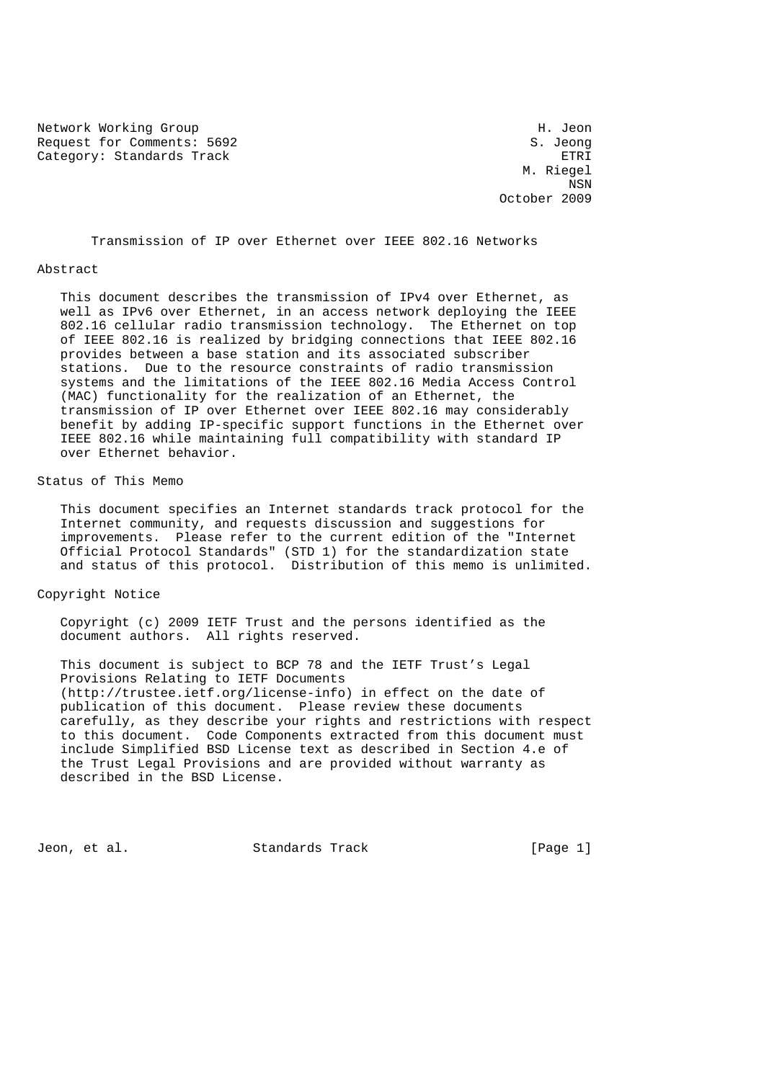Network Working Group Network Working Group Request for Comments: 5692 S. Jeong Category: Standards Track ETRI

 M. Riegel NSN October 2009

Transmission of IP over Ethernet over IEEE 802.16 Networks

#### Abstract

 This document describes the transmission of IPv4 over Ethernet, as well as IPv6 over Ethernet, in an access network deploying the IEEE 802.16 cellular radio transmission technology. The Ethernet on top of IEEE 802.16 is realized by bridging connections that IEEE 802.16 provides between a base station and its associated subscriber stations. Due to the resource constraints of radio transmission systems and the limitations of the IEEE 802.16 Media Access Control (MAC) functionality for the realization of an Ethernet, the transmission of IP over Ethernet over IEEE 802.16 may considerably benefit by adding IP-specific support functions in the Ethernet over IEEE 802.16 while maintaining full compatibility with standard IP over Ethernet behavior.

## Status of This Memo

 This document specifies an Internet standards track protocol for the Internet community, and requests discussion and suggestions for improvements. Please refer to the current edition of the "Internet Official Protocol Standards" (STD 1) for the standardization state and status of this protocol. Distribution of this memo is unlimited.

### Copyright Notice

 Copyright (c) 2009 IETF Trust and the persons identified as the document authors. All rights reserved.

 This document is subject to BCP 78 and the IETF Trust's Legal Provisions Relating to IETF Documents (http://trustee.ietf.org/license-info) in effect on the date of publication of this document. Please review these documents carefully, as they describe your rights and restrictions with respect to this document. Code Components extracted from this document must include Simplified BSD License text as described in Section 4.e of the Trust Legal Provisions and are provided without warranty as described in the BSD License.

Jeon, et al. Standards Track [Page 1]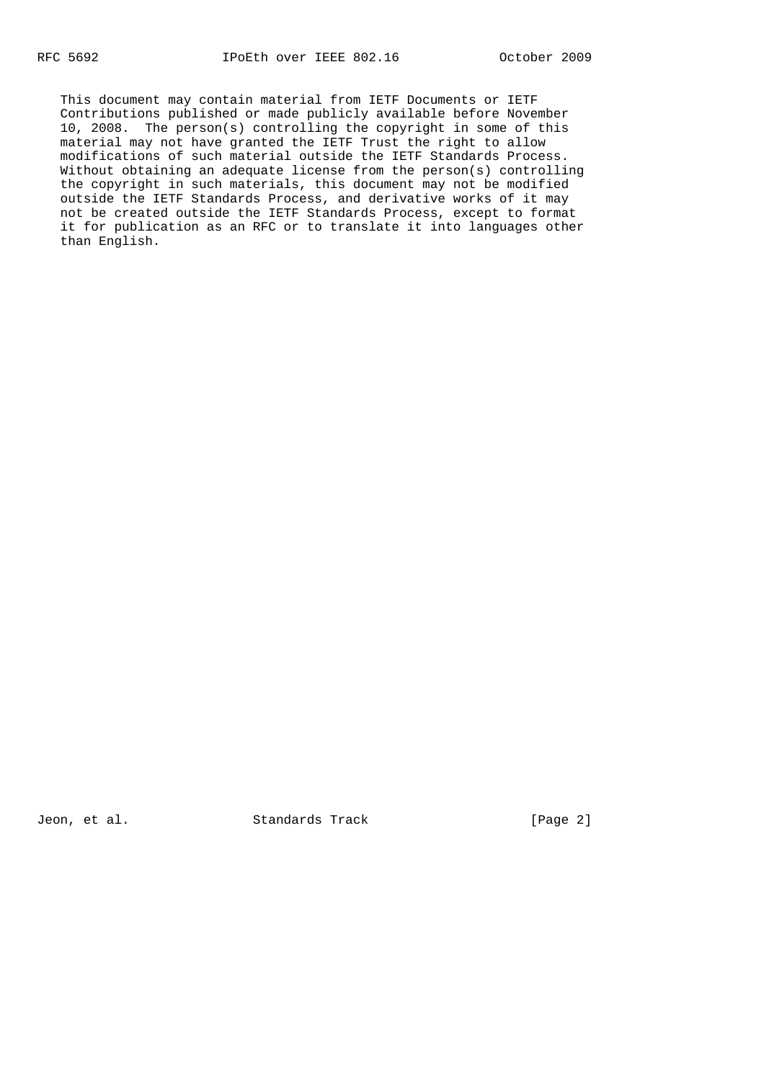This document may contain material from IETF Documents or IETF Contributions published or made publicly available before November 10, 2008. The person(s) controlling the copyright in some of this material may not have granted the IETF Trust the right to allow modifications of such material outside the IETF Standards Process. Without obtaining an adequate license from the person(s) controlling the copyright in such materials, this document may not be modified outside the IETF Standards Process, and derivative works of it may not be created outside the IETF Standards Process, except to format it for publication as an RFC or to translate it into languages other than English.

Jeon, et al. Standards Track [Page 2]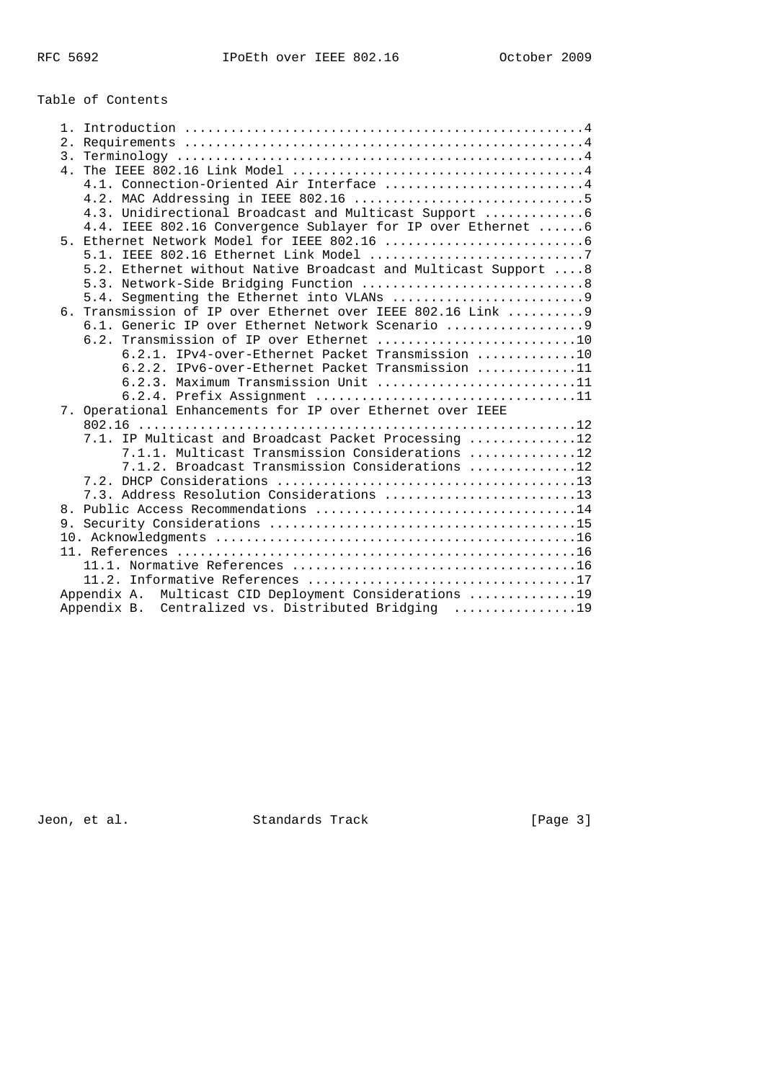Table of Contents

| 3. |                                                                                                                  |
|----|------------------------------------------------------------------------------------------------------------------|
|    |                                                                                                                  |
|    | 4.1. Connection-Oriented Air Interface  4                                                                        |
|    |                                                                                                                  |
|    |                                                                                                                  |
|    | 4.4. IEEE 802.16 Convergence Sublayer for IP over Ethernet  6                                                    |
|    |                                                                                                                  |
|    |                                                                                                                  |
|    | 5.2. Ethernet without Native Broadcast and Multicast Support  8                                                  |
|    |                                                                                                                  |
|    | 6. Transmission of IP over Ethernet over IEEE 802.16 Link  9                                                     |
|    | 6.1. Generic IP over Ethernet Network Scenario 9                                                                 |
|    | 6.2. Transmission of IP over Ethernet 10                                                                         |
|    | 6.2.1. IPv4-over-Ethernet Packet Transmission 10                                                                 |
|    | 6.2.2. IPv6-over-Ethernet Packet Transmission 11                                                                 |
|    | $6.2.3$ . Maximum Transmission Unit 11                                                                           |
|    | 6.2.4. Prefix Assignment 11                                                                                      |
|    | 7. Operational Enhancements for IP over Ethernet over IEEE                                                       |
|    | 7.1. IP Multicast and Broadcast Packet Processing 12                                                             |
|    | 7.1.1. Multicast Transmission Considerations 12                                                                  |
|    | 7.1.2. Broadcast Transmission Considerations 12                                                                  |
|    |                                                                                                                  |
|    | 7.3. Address Resolution Considerations 13                                                                        |
| 8. |                                                                                                                  |
|    |                                                                                                                  |
|    |                                                                                                                  |
|    |                                                                                                                  |
|    |                                                                                                                  |
|    |                                                                                                                  |
|    | Multicast CID Deployment Considerations 19<br>Appendix A.<br>Appendix B. Centralized vs. Distributed Bridging 19 |
|    |                                                                                                                  |

Jeon, et al. Standards Track (Page 3)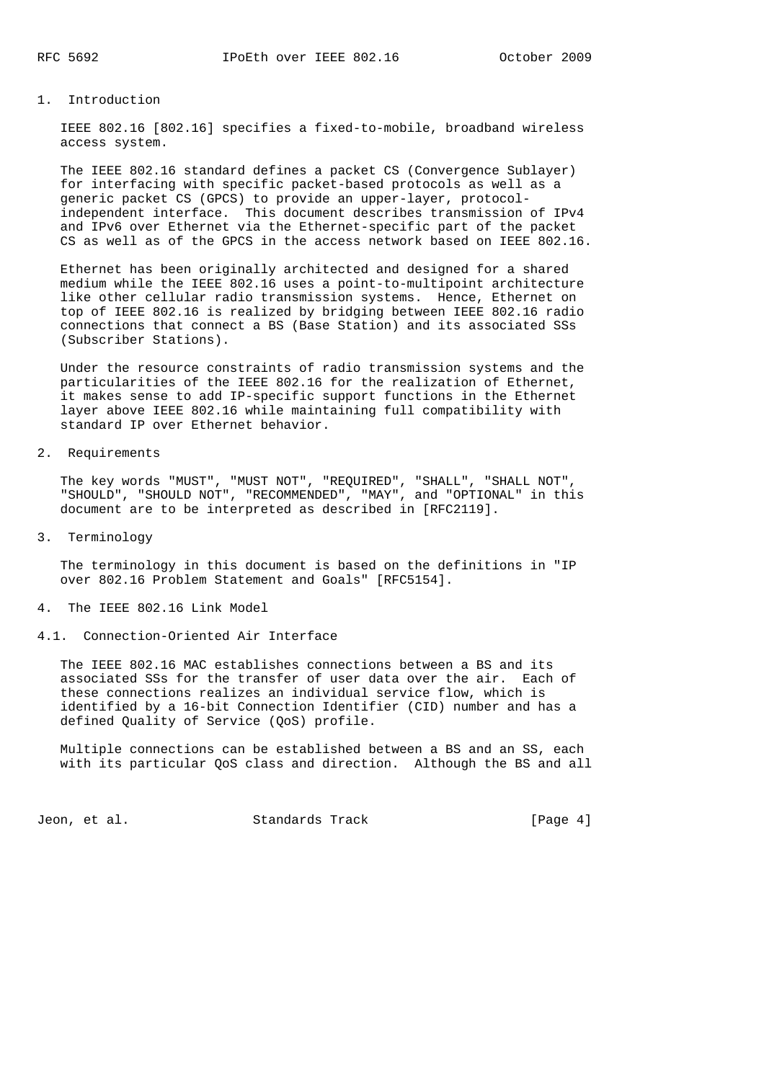### 1. Introduction

 IEEE 802.16 [802.16] specifies a fixed-to-mobile, broadband wireless access system.

 The IEEE 802.16 standard defines a packet CS (Convergence Sublayer) for interfacing with specific packet-based protocols as well as a generic packet CS (GPCS) to provide an upper-layer, protocol independent interface. This document describes transmission of IPv4 and IPv6 over Ethernet via the Ethernet-specific part of the packet CS as well as of the GPCS in the access network based on IEEE 802.16.

 Ethernet has been originally architected and designed for a shared medium while the IEEE 802.16 uses a point-to-multipoint architecture like other cellular radio transmission systems. Hence, Ethernet on top of IEEE 802.16 is realized by bridging between IEEE 802.16 radio connections that connect a BS (Base Station) and its associated SSs (Subscriber Stations).

 Under the resource constraints of radio transmission systems and the particularities of the IEEE 802.16 for the realization of Ethernet, it makes sense to add IP-specific support functions in the Ethernet layer above IEEE 802.16 while maintaining full compatibility with standard IP over Ethernet behavior.

2. Requirements

 The key words "MUST", "MUST NOT", "REQUIRED", "SHALL", "SHALL NOT", "SHOULD", "SHOULD NOT", "RECOMMENDED", "MAY", and "OPTIONAL" in this document are to be interpreted as described in [RFC2119].

3. Terminology

 The terminology in this document is based on the definitions in "IP over 802.16 Problem Statement and Goals" [RFC5154].

#### 4. The IEEE 802.16 Link Model

#### 4.1. Connection-Oriented Air Interface

 The IEEE 802.16 MAC establishes connections between a BS and its associated SSs for the transfer of user data over the air. Each of these connections realizes an individual service flow, which is identified by a 16-bit Connection Identifier (CID) number and has a defined Quality of Service (QoS) profile.

 Multiple connections can be established between a BS and an SS, each with its particular QoS class and direction. Although the BS and all

Jeon, et al. Standards Track [Page 4]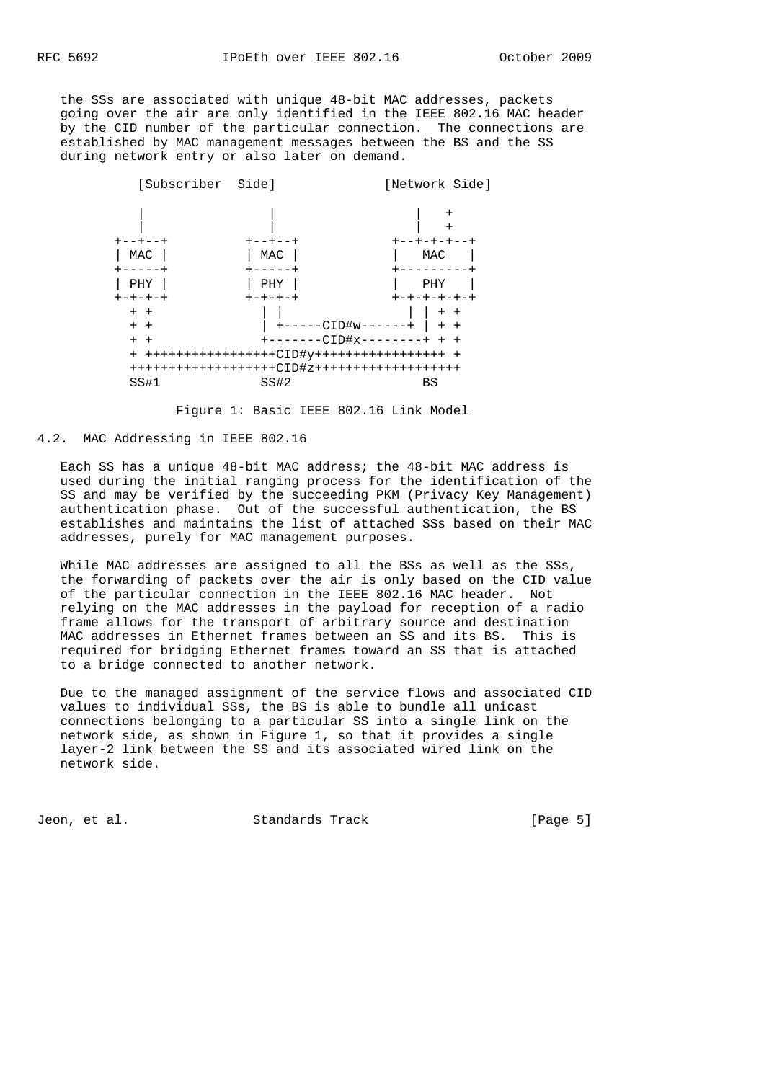the SSs are associated with unique 48-bit MAC addresses, packets going over the air are only identified in the IEEE 802.16 MAC header by the CID number of the particular connection. The connections are established by MAC management messages between the BS and the SS during network entry or also later on demand.



Figure 1: Basic IEEE 802.16 Link Model

## 4.2. MAC Addressing in IEEE 802.16

 Each SS has a unique 48-bit MAC address; the 48-bit MAC address is used during the initial ranging process for the identification of the SS and may be verified by the succeeding PKM (Privacy Key Management) authentication phase. Out of the successful authentication, the BS establishes and maintains the list of attached SSs based on their MAC addresses, purely for MAC management purposes.

While MAC addresses are assigned to all the BSs as well as the SSs, the forwarding of packets over the air is only based on the CID value of the particular connection in the IEEE 802.16 MAC header. Not relying on the MAC addresses in the payload for reception of a radio frame allows for the transport of arbitrary source and destination MAC addresses in Ethernet frames between an SS and its BS. This is required for bridging Ethernet frames toward an SS that is attached to a bridge connected to another network.

 Due to the managed assignment of the service flows and associated CID values to individual SSs, the BS is able to bundle all unicast connections belonging to a particular SS into a single link on the network side, as shown in Figure 1, so that it provides a single layer-2 link between the SS and its associated wired link on the network side.

Jeon, et al. Standards Track [Page 5]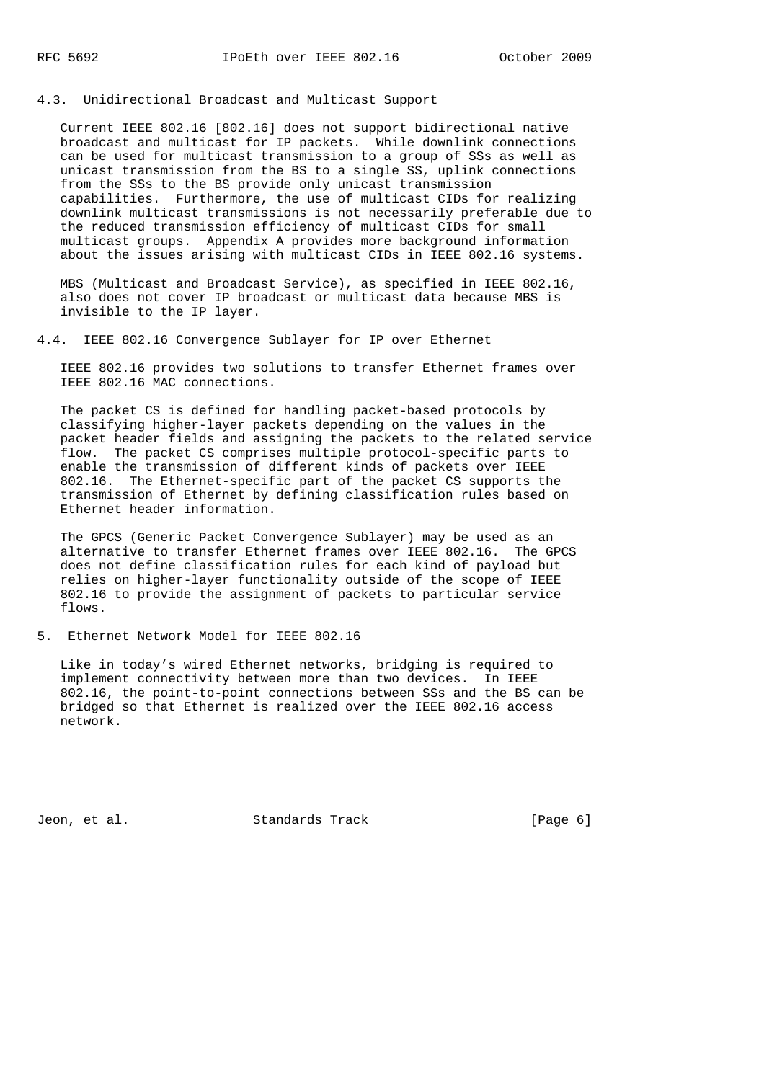4.3. Unidirectional Broadcast and Multicast Support

 Current IEEE 802.16 [802.16] does not support bidirectional native broadcast and multicast for IP packets. While downlink connections can be used for multicast transmission to a group of SSs as well as unicast transmission from the BS to a single SS, uplink connections from the SSs to the BS provide only unicast transmission capabilities. Furthermore, the use of multicast CIDs for realizing downlink multicast transmissions is not necessarily preferable due to the reduced transmission efficiency of multicast CIDs for small multicast groups. Appendix A provides more background information about the issues arising with multicast CIDs in IEEE 802.16 systems.

 MBS (Multicast and Broadcast Service), as specified in IEEE 802.16, also does not cover IP broadcast or multicast data because MBS is invisible to the IP layer.

4.4. IEEE 802.16 Convergence Sublayer for IP over Ethernet

 IEEE 802.16 provides two solutions to transfer Ethernet frames over IEEE 802.16 MAC connections.

 The packet CS is defined for handling packet-based protocols by classifying higher-layer packets depending on the values in the packet header fields and assigning the packets to the related service flow. The packet CS comprises multiple protocol-specific parts to enable the transmission of different kinds of packets over IEEE 802.16. The Ethernet-specific part of the packet CS supports the transmission of Ethernet by defining classification rules based on Ethernet header information.

 The GPCS (Generic Packet Convergence Sublayer) may be used as an alternative to transfer Ethernet frames over IEEE 802.16. The GPCS does not define classification rules for each kind of payload but relies on higher-layer functionality outside of the scope of IEEE 802.16 to provide the assignment of packets to particular service flows.

5. Ethernet Network Model for IEEE 802.16

 Like in today's wired Ethernet networks, bridging is required to implement connectivity between more than two devices. In IEEE 802.16, the point-to-point connections between SSs and the BS can be bridged so that Ethernet is realized over the IEEE 802.16 access network.

Jeon, et al. Standards Track [Page 6]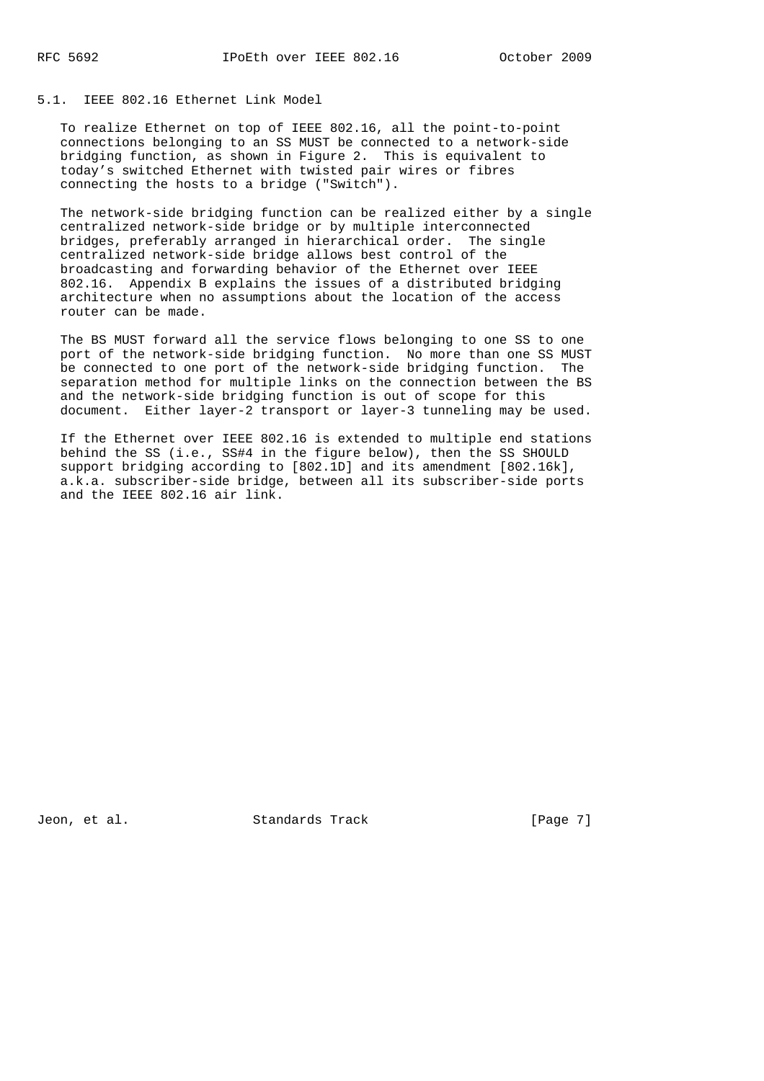## 5.1. IEEE 802.16 Ethernet Link Model

 To realize Ethernet on top of IEEE 802.16, all the point-to-point connections belonging to an SS MUST be connected to a network-side bridging function, as shown in Figure 2. This is equivalent to today's switched Ethernet with twisted pair wires or fibres connecting the hosts to a bridge ("Switch").

 The network-side bridging function can be realized either by a single centralized network-side bridge or by multiple interconnected bridges, preferably arranged in hierarchical order. The single centralized network-side bridge allows best control of the broadcasting and forwarding behavior of the Ethernet over IEEE 802.16. Appendix B explains the issues of a distributed bridging architecture when no assumptions about the location of the access router can be made.

 The BS MUST forward all the service flows belonging to one SS to one port of the network-side bridging function. No more than one SS MUST be connected to one port of the network-side bridging function. The separation method for multiple links on the connection between the BS and the network-side bridging function is out of scope for this document. Either layer-2 transport or layer-3 tunneling may be used.

 If the Ethernet over IEEE 802.16 is extended to multiple end stations behind the SS (i.e., SS#4 in the figure below), then the SS SHOULD support bridging according to [802.1D] and its amendment [802.16k], a.k.a. subscriber-side bridge, between all its subscriber-side ports and the IEEE 802.16 air link.

Jeon, et al. Standards Track [Page 7]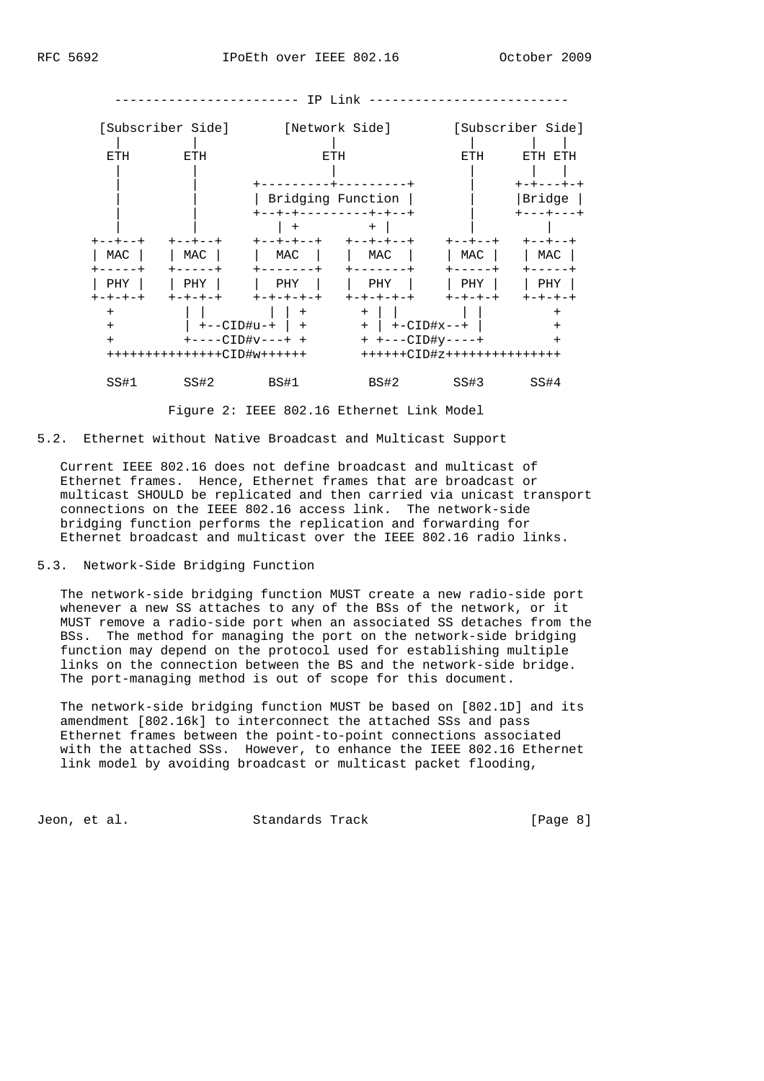

Figure 2: IEEE 802.16 Ethernet Link Model

5.2. Ethernet without Native Broadcast and Multicast Support

 Current IEEE 802.16 does not define broadcast and multicast of Ethernet frames. Hence, Ethernet frames that are broadcast or multicast SHOULD be replicated and then carried via unicast transport connections on the IEEE 802.16 access link. The network-side bridging function performs the replication and forwarding for Ethernet broadcast and multicast over the IEEE 802.16 radio links.

5.3. Network-Side Bridging Function

 The network-side bridging function MUST create a new radio-side port whenever a new SS attaches to any of the BSs of the network, or it MUST remove a radio-side port when an associated SS detaches from the BSs. The method for managing the port on the network-side bridging function may depend on the protocol used for establishing multiple links on the connection between the BS and the network-side bridge. The port-managing method is out of scope for this document.

 The network-side bridging function MUST be based on [802.1D] and its amendment [802.16k] to interconnect the attached SSs and pass Ethernet frames between the point-to-point connections associated with the attached SSs. However, to enhance the IEEE 802.16 Ethernet link model by avoiding broadcast or multicast packet flooding,

Jeon, et al. Standards Track [Page 8]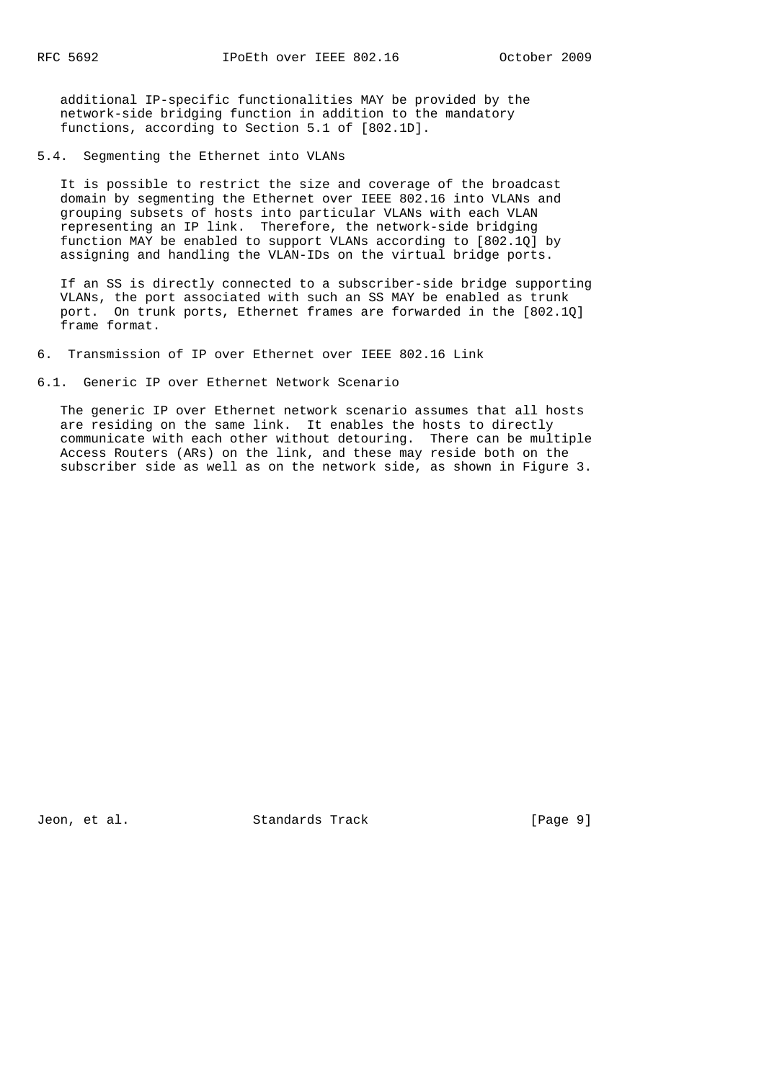additional IP-specific functionalities MAY be provided by the network-side bridging function in addition to the mandatory functions, according to Section 5.1 of [802.1D].

5.4. Segmenting the Ethernet into VLANs

 It is possible to restrict the size and coverage of the broadcast domain by segmenting the Ethernet over IEEE 802.16 into VLANs and grouping subsets of hosts into particular VLANs with each VLAN representing an IP link. Therefore, the network-side bridging function MAY be enabled to support VLANs according to [802.1Q] by assigning and handling the VLAN-IDs on the virtual bridge ports.

 If an SS is directly connected to a subscriber-side bridge supporting VLANs, the port associated with such an SS MAY be enabled as trunk port. On trunk ports, Ethernet frames are forwarded in the [802.1Q] frame format.

- 6. Transmission of IP over Ethernet over IEEE 802.16 Link
- 6.1. Generic IP over Ethernet Network Scenario

 The generic IP over Ethernet network scenario assumes that all hosts are residing on the same link. It enables the hosts to directly communicate with each other without detouring. There can be multiple Access Routers (ARs) on the link, and these may reside both on the subscriber side as well as on the network side, as shown in Figure 3.

Jeon, et al. Standards Track [Page 9]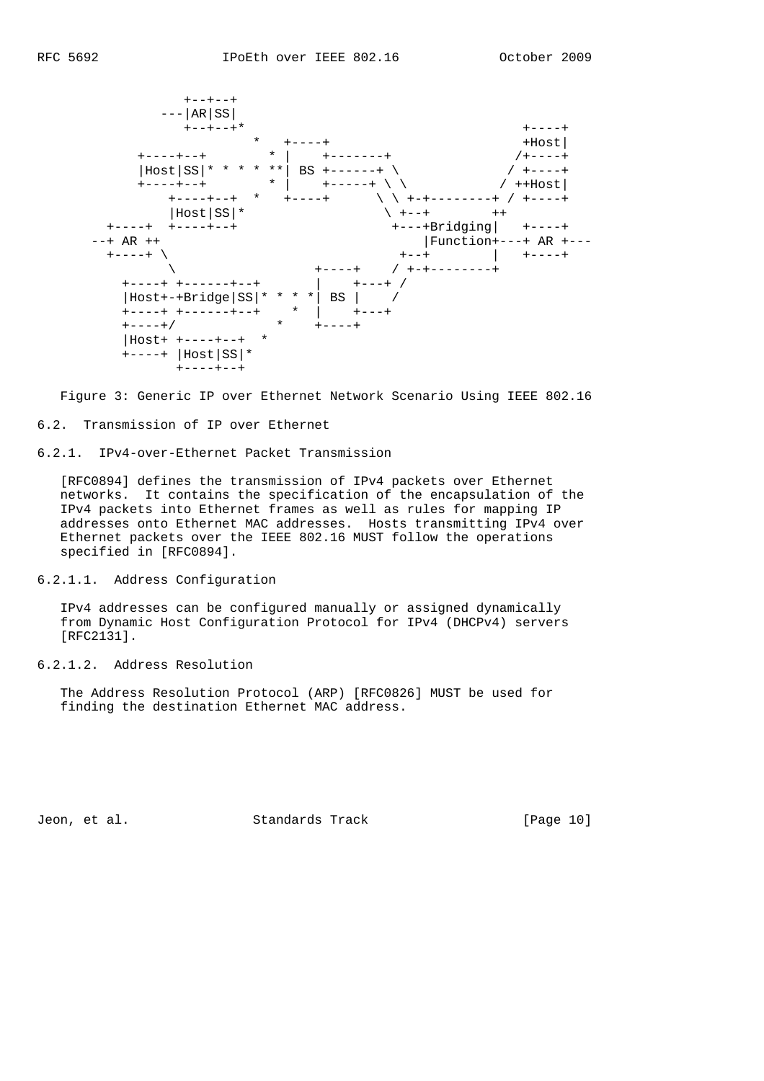

Figure 3: Generic IP over Ethernet Network Scenario Using IEEE 802.16

6.2. Transmission of IP over Ethernet

6.2.1. IPv4-over-Ethernet Packet Transmission

 [RFC0894] defines the transmission of IPv4 packets over Ethernet networks. It contains the specification of the encapsulation of the IPv4 packets into Ethernet frames as well as rules for mapping IP addresses onto Ethernet MAC addresses. Hosts transmitting IPv4 over Ethernet packets over the IEEE 802.16 MUST follow the operations specified in [RFC0894].

6.2.1.1. Address Configuration

 IPv4 addresses can be configured manually or assigned dynamically from Dynamic Host Configuration Protocol for IPv4 (DHCPv4) servers [RFC2131].

6.2.1.2. Address Resolution

 The Address Resolution Protocol (ARP) [RFC0826] MUST be used for finding the destination Ethernet MAC address.

Jeon, et al. Standards Track [Page 10]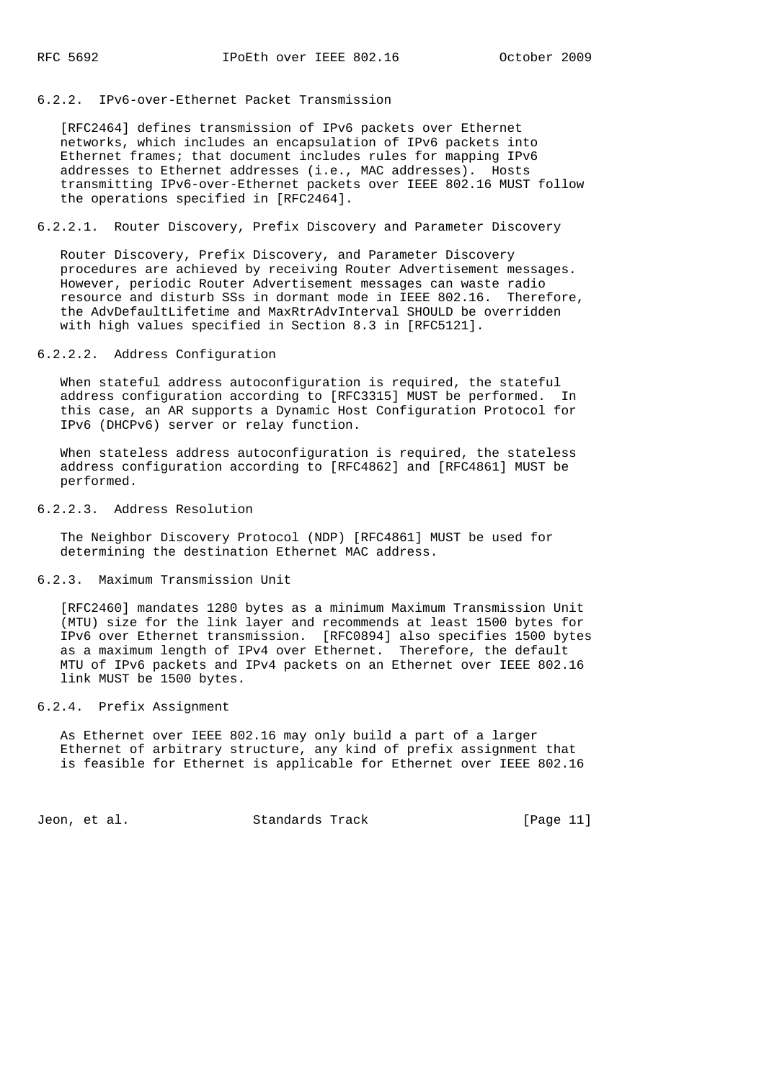## 6.2.2. IPv6-over-Ethernet Packet Transmission

 [RFC2464] defines transmission of IPv6 packets over Ethernet networks, which includes an encapsulation of IPv6 packets into Ethernet frames; that document includes rules for mapping IPv6 addresses to Ethernet addresses (i.e., MAC addresses). Hosts transmitting IPv6-over-Ethernet packets over IEEE 802.16 MUST follow the operations specified in [RFC2464].

### 6.2.2.1. Router Discovery, Prefix Discovery and Parameter Discovery

 Router Discovery, Prefix Discovery, and Parameter Discovery procedures are achieved by receiving Router Advertisement messages. However, periodic Router Advertisement messages can waste radio resource and disturb SSs in dormant mode in IEEE 802.16. Therefore, the AdvDefaultLifetime and MaxRtrAdvInterval SHOULD be overridden with high values specified in Section 8.3 in [RFC5121].

### 6.2.2.2. Address Configuration

 When stateful address autoconfiguration is required, the stateful address configuration according to [RFC3315] MUST be performed. In this case, an AR supports a Dynamic Host Configuration Protocol for IPv6 (DHCPv6) server or relay function.

 When stateless address autoconfiguration is required, the stateless address configuration according to [RFC4862] and [RFC4861] MUST be performed.

#### 6.2.2.3. Address Resolution

 The Neighbor Discovery Protocol (NDP) [RFC4861] MUST be used for determining the destination Ethernet MAC address.

#### 6.2.3. Maximum Transmission Unit

 [RFC2460] mandates 1280 bytes as a minimum Maximum Transmission Unit (MTU) size for the link layer and recommends at least 1500 bytes for IPv6 over Ethernet transmission. [RFC0894] also specifies 1500 bytes as a maximum length of IPv4 over Ethernet. Therefore, the default MTU of IPv6 packets and IPv4 packets on an Ethernet over IEEE 802.16 link MUST be 1500 bytes.

### 6.2.4. Prefix Assignment

 As Ethernet over IEEE 802.16 may only build a part of a larger Ethernet of arbitrary structure, any kind of prefix assignment that is feasible for Ethernet is applicable for Ethernet over IEEE 802.16

Jeon, et al. Standards Track [Page 11]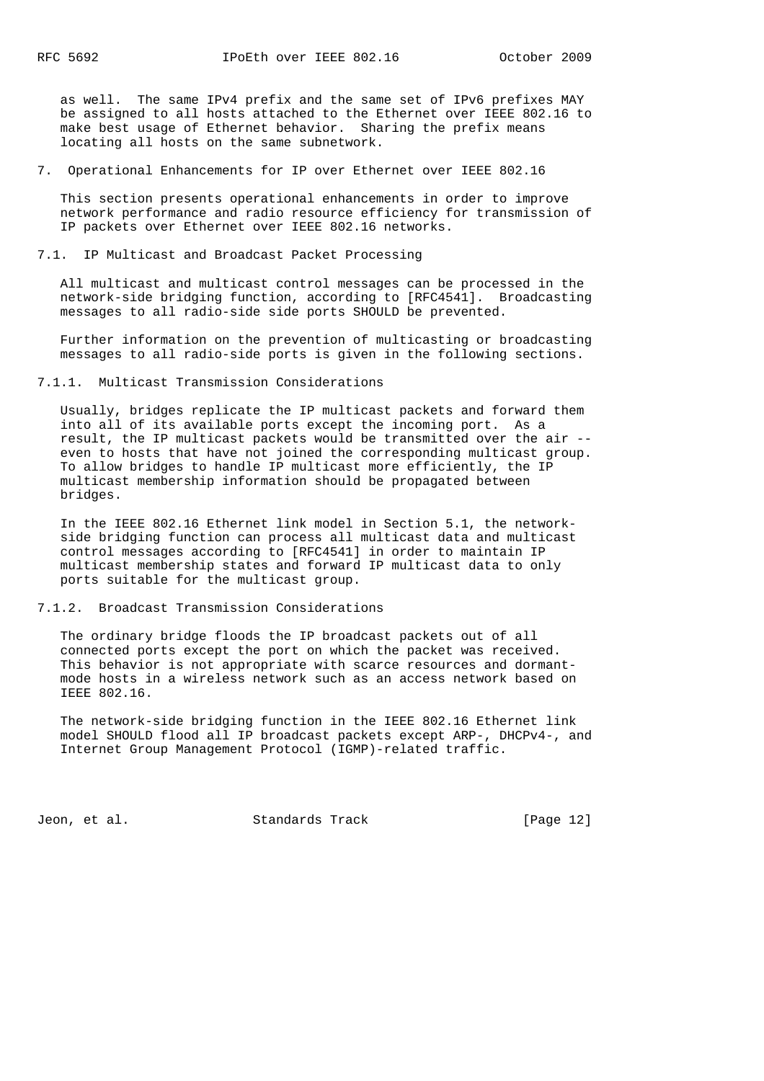as well. The same IPv4 prefix and the same set of IPv6 prefixes MAY be assigned to all hosts attached to the Ethernet over IEEE 802.16 to make best usage of Ethernet behavior. Sharing the prefix means locating all hosts on the same subnetwork.

7. Operational Enhancements for IP over Ethernet over IEEE 802.16

 This section presents operational enhancements in order to improve network performance and radio resource efficiency for transmission of IP packets over Ethernet over IEEE 802.16 networks.

### 7.1. IP Multicast and Broadcast Packet Processing

 All multicast and multicast control messages can be processed in the network-side bridging function, according to [RFC4541]. Broadcasting messages to all radio-side side ports SHOULD be prevented.

 Further information on the prevention of multicasting or broadcasting messages to all radio-side ports is given in the following sections.

### 7.1.1. Multicast Transmission Considerations

 Usually, bridges replicate the IP multicast packets and forward them into all of its available ports except the incoming port. As a result, the IP multicast packets would be transmitted over the air - even to hosts that have not joined the corresponding multicast group. To allow bridges to handle IP multicast more efficiently, the IP multicast membership information should be propagated between bridges.

 In the IEEE 802.16 Ethernet link model in Section 5.1, the network side bridging function can process all multicast data and multicast control messages according to [RFC4541] in order to maintain IP multicast membership states and forward IP multicast data to only ports suitable for the multicast group.

#### 7.1.2. Broadcast Transmission Considerations

 The ordinary bridge floods the IP broadcast packets out of all connected ports except the port on which the packet was received. This behavior is not appropriate with scarce resources and dormant mode hosts in a wireless network such as an access network based on IEEE 802.16.

 The network-side bridging function in the IEEE 802.16 Ethernet link model SHOULD flood all IP broadcast packets except ARP-, DHCPv4-, and Internet Group Management Protocol (IGMP)-related traffic.

Jeon, et al. Standards Track [Page 12]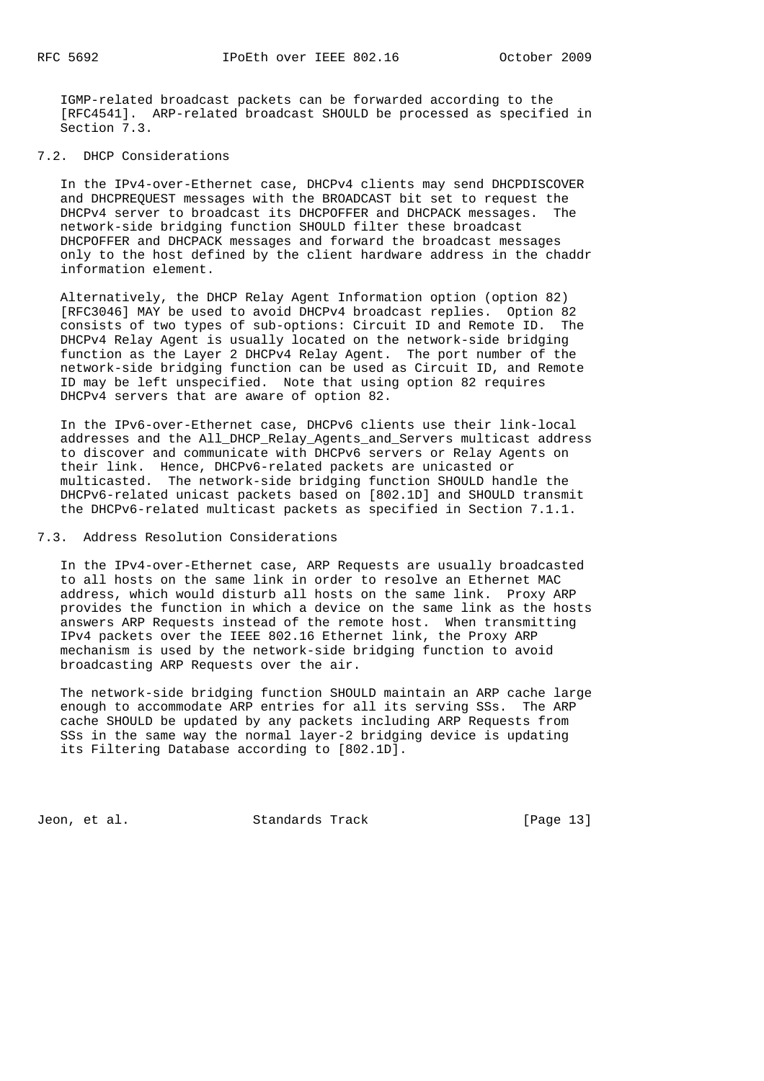IGMP-related broadcast packets can be forwarded according to the [RFC4541]. ARP-related broadcast SHOULD be processed as specified in Section 7.3.

# 7.2. DHCP Considerations

 In the IPv4-over-Ethernet case, DHCPv4 clients may send DHCPDISCOVER and DHCPREQUEST messages with the BROADCAST bit set to request the DHCPv4 server to broadcast its DHCPOFFER and DHCPACK messages. The network-side bridging function SHOULD filter these broadcast DHCPOFFER and DHCPACK messages and forward the broadcast messages only to the host defined by the client hardware address in the chaddr information element.

 Alternatively, the DHCP Relay Agent Information option (option 82) [RFC3046] MAY be used to avoid DHCPv4 broadcast replies. Option 82 consists of two types of sub-options: Circuit ID and Remote ID. The DHCPv4 Relay Agent is usually located on the network-side bridging function as the Layer 2 DHCPv4 Relay Agent. The port number of the network-side bridging function can be used as Circuit ID, and Remote ID may be left unspecified. Note that using option 82 requires DHCPv4 servers that are aware of option 82.

 In the IPv6-over-Ethernet case, DHCPv6 clients use their link-local addresses and the All\_DHCP\_Relay\_Agents\_and\_Servers multicast address to discover and communicate with DHCPv6 servers or Relay Agents on their link. Hence, DHCPv6-related packets are unicasted or multicasted. The network-side bridging function SHOULD handle the DHCPv6-related unicast packets based on [802.1D] and SHOULD transmit the DHCPv6-related multicast packets as specified in Section 7.1.1.

### 7.3. Address Resolution Considerations

 In the IPv4-over-Ethernet case, ARP Requests are usually broadcasted to all hosts on the same link in order to resolve an Ethernet MAC address, which would disturb all hosts on the same link. Proxy ARP provides the function in which a device on the same link as the hosts answers ARP Requests instead of the remote host. When transmitting IPv4 packets over the IEEE 802.16 Ethernet link, the Proxy ARP mechanism is used by the network-side bridging function to avoid broadcasting ARP Requests over the air.

 The network-side bridging function SHOULD maintain an ARP cache large enough to accommodate ARP entries for all its serving SSs. The ARP cache SHOULD be updated by any packets including ARP Requests from SSs in the same way the normal layer-2 bridging device is updating its Filtering Database according to [802.1D].

Jeon, et al. Standards Track [Page 13]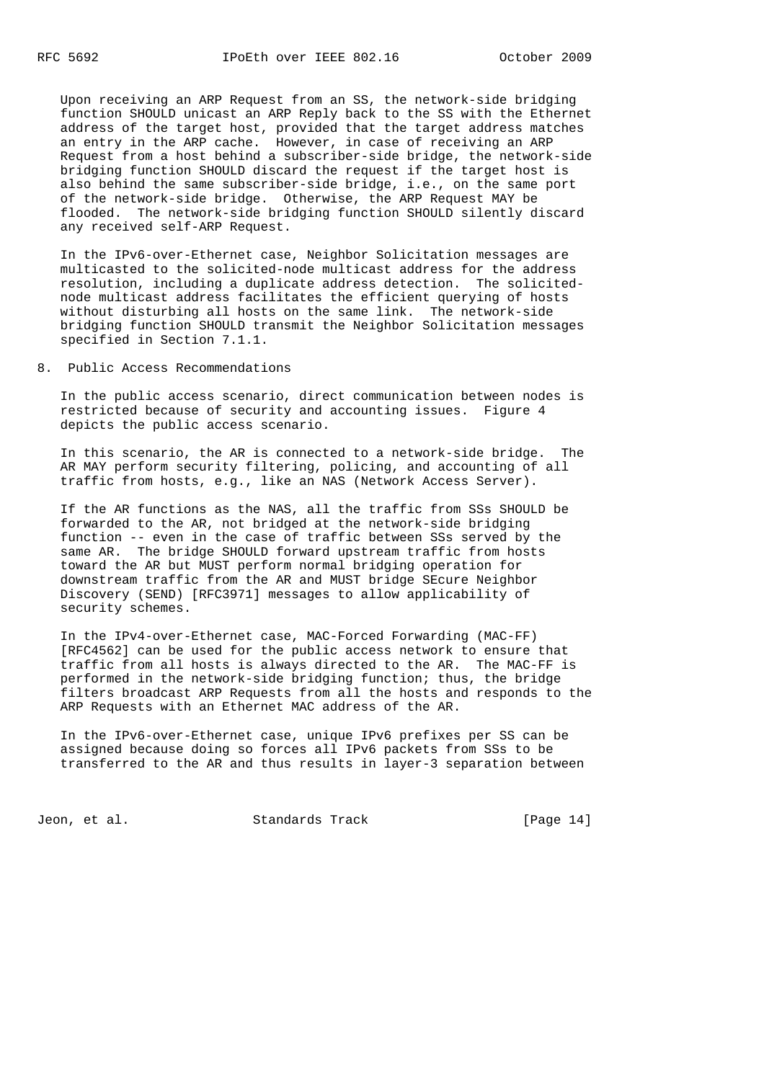Upon receiving an ARP Request from an SS, the network-side bridging function SHOULD unicast an ARP Reply back to the SS with the Ethernet address of the target host, provided that the target address matches an entry in the ARP cache. However, in case of receiving an ARP Request from a host behind a subscriber-side bridge, the network-side bridging function SHOULD discard the request if the target host is also behind the same subscriber-side bridge, i.e., on the same port of the network-side bridge. Otherwise, the ARP Request MAY be flooded. The network-side bridging function SHOULD silently discard any received self-ARP Request.

 In the IPv6-over-Ethernet case, Neighbor Solicitation messages are multicasted to the solicited-node multicast address for the address resolution, including a duplicate address detection. The solicited node multicast address facilitates the efficient querying of hosts without disturbing all hosts on the same link. The network-side bridging function SHOULD transmit the Neighbor Solicitation messages specified in Section 7.1.1.

8. Public Access Recommendations

 In the public access scenario, direct communication between nodes is restricted because of security and accounting issues. Figure 4 depicts the public access scenario.

 In this scenario, the AR is connected to a network-side bridge. The AR MAY perform security filtering, policing, and accounting of all traffic from hosts, e.g., like an NAS (Network Access Server).

 If the AR functions as the NAS, all the traffic from SSs SHOULD be forwarded to the AR, not bridged at the network-side bridging function -- even in the case of traffic between SSs served by the same AR. The bridge SHOULD forward upstream traffic from hosts toward the AR but MUST perform normal bridging operation for downstream traffic from the AR and MUST bridge SEcure Neighbor Discovery (SEND) [RFC3971] messages to allow applicability of security schemes.

 In the IPv4-over-Ethernet case, MAC-Forced Forwarding (MAC-FF) [RFC4562] can be used for the public access network to ensure that traffic from all hosts is always directed to the AR. The MAC-FF is performed in the network-side bridging function; thus, the bridge filters broadcast ARP Requests from all the hosts and responds to the ARP Requests with an Ethernet MAC address of the AR.

 In the IPv6-over-Ethernet case, unique IPv6 prefixes per SS can be assigned because doing so forces all IPv6 packets from SSs to be transferred to the AR and thus results in layer-3 separation between

Jeon, et al. Standards Track [Page 14]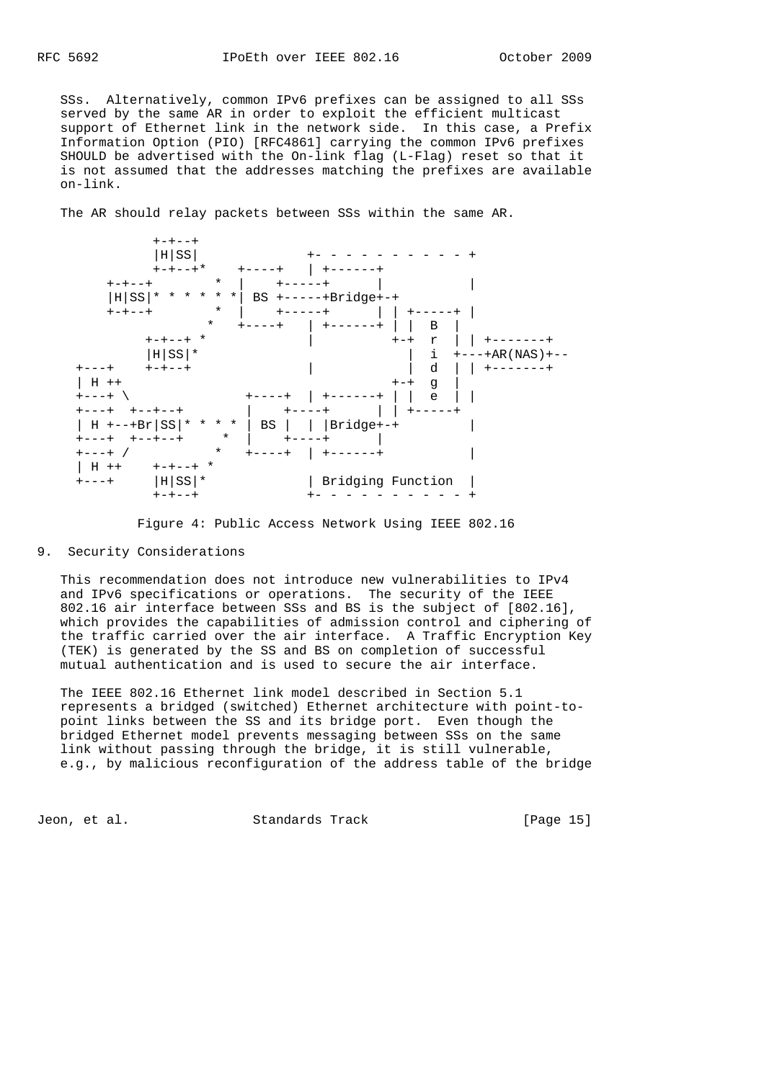SSs. Alternatively, common IPv6 prefixes can be assigned to all SSs served by the same AR in order to exploit the efficient multicast support of Ethernet link in the network side. In this case, a Prefix Information Option (PIO) [RFC4861] carrying the common IPv6 prefixes SHOULD be advertised with the On-link flag (L-Flag) reset so that it is not assumed that the addresses matching the prefixes are available on-link.

The AR should relay packets between SSs within the same AR.



Figure 4: Public Access Network Using IEEE 802.16

9. Security Considerations

 This recommendation does not introduce new vulnerabilities to IPv4 and IPv6 specifications or operations. The security of the IEEE 802.16 air interface between SSs and BS is the subject of [802.16], which provides the capabilities of admission control and ciphering of the traffic carried over the air interface. A Traffic Encryption Key (TEK) is generated by the SS and BS on completion of successful mutual authentication and is used to secure the air interface.

 The IEEE 802.16 Ethernet link model described in Section 5.1 represents a bridged (switched) Ethernet architecture with point-to point links between the SS and its bridge port. Even though the bridged Ethernet model prevents messaging between SSs on the same link without passing through the bridge, it is still vulnerable, e.g., by malicious reconfiguration of the address table of the bridge

Jeon, et al. Standards Track [Page 15]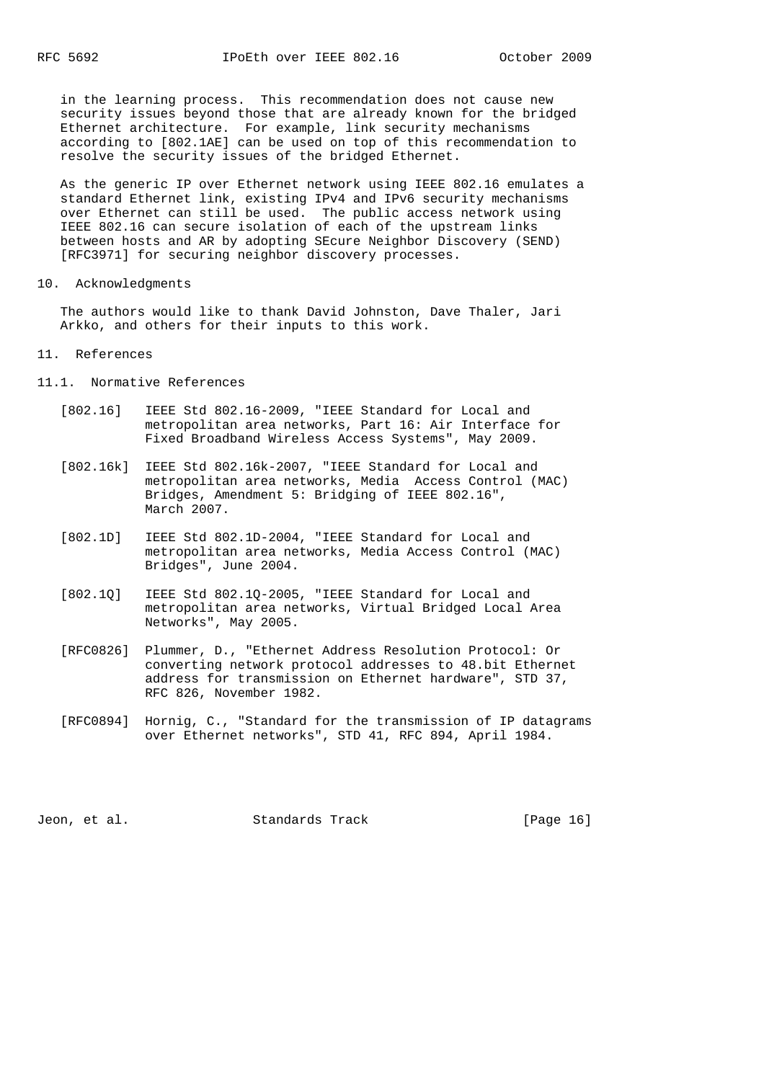in the learning process. This recommendation does not cause new security issues beyond those that are already known for the bridged Ethernet architecture. For example, link security mechanisms according to [802.1AE] can be used on top of this recommendation to resolve the security issues of the bridged Ethernet.

 As the generic IP over Ethernet network using IEEE 802.16 emulates a standard Ethernet link, existing IPv4 and IPv6 security mechanisms over Ethernet can still be used. The public access network using IEEE 802.16 can secure isolation of each of the upstream links between hosts and AR by adopting SEcure Neighbor Discovery (SEND) [RFC3971] for securing neighbor discovery processes.

10. Acknowledgments

 The authors would like to thank David Johnston, Dave Thaler, Jari Arkko, and others for their inputs to this work.

- 11. References
- 11.1. Normative References
	- [802.16] IEEE Std 802.16-2009, "IEEE Standard for Local and metropolitan area networks, Part 16: Air Interface for Fixed Broadband Wireless Access Systems", May 2009.
	- [802.16k] IEEE Std 802.16k-2007, "IEEE Standard for Local and metropolitan area networks, Media Access Control (MAC) Bridges, Amendment 5: Bridging of IEEE 802.16", March 2007.
	- [802.1D] IEEE Std 802.1D-2004, "IEEE Standard for Local and metropolitan area networks, Media Access Control (MAC) Bridges", June 2004.
	- [802.1Q] IEEE Std 802.1Q-2005, "IEEE Standard for Local and metropolitan area networks, Virtual Bridged Local Area Networks", May 2005.
	- [RFC0826] Plummer, D., "Ethernet Address Resolution Protocol: Or converting network protocol addresses to 48.bit Ethernet address for transmission on Ethernet hardware", STD 37, RFC 826, November 1982.
	- [RFC0894] Hornig, C., "Standard for the transmission of IP datagrams over Ethernet networks", STD 41, RFC 894, April 1984.

Jeon, et al. Standards Track [Page 16]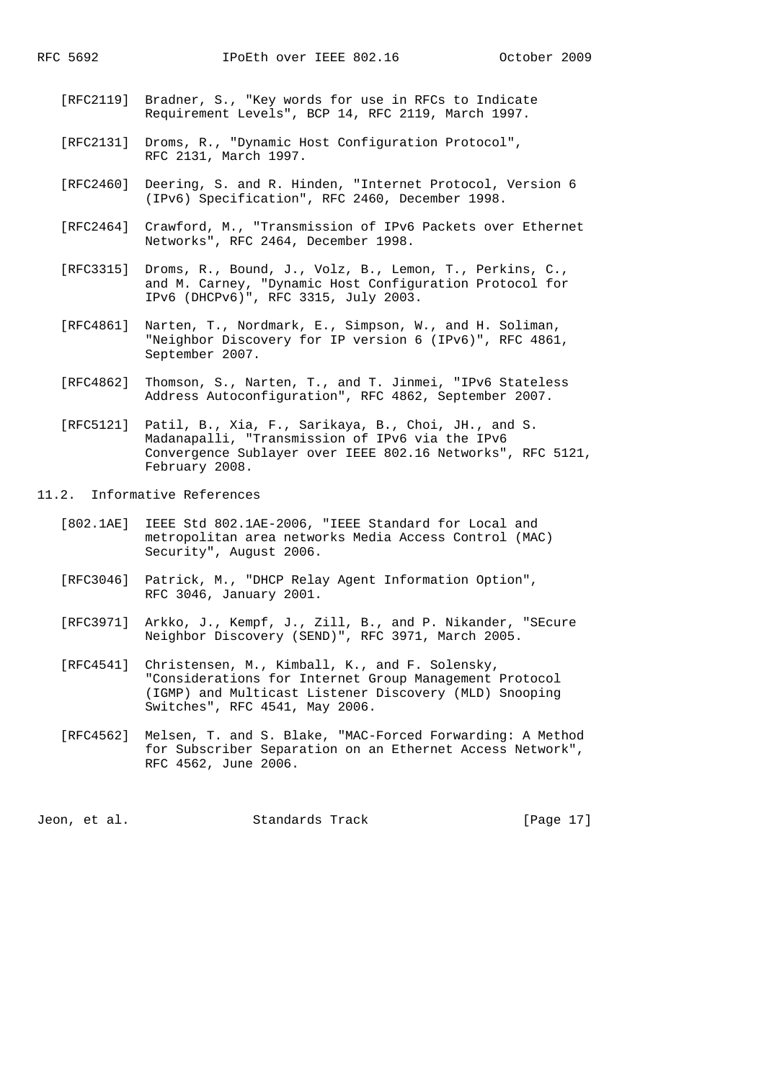- [RFC2119] Bradner, S., "Key words for use in RFCs to Indicate Requirement Levels", BCP 14, RFC 2119, March 1997.
- [RFC2131] Droms, R., "Dynamic Host Configuration Protocol", RFC 2131, March 1997.
- [RFC2460] Deering, S. and R. Hinden, "Internet Protocol, Version 6 (IPv6) Specification", RFC 2460, December 1998.
- [RFC2464] Crawford, M., "Transmission of IPv6 Packets over Ethernet Networks", RFC 2464, December 1998.
- [RFC3315] Droms, R., Bound, J., Volz, B., Lemon, T., Perkins, C., and M. Carney, "Dynamic Host Configuration Protocol for IPv6 (DHCPv6)", RFC 3315, July 2003.
- [RFC4861] Narten, T., Nordmark, E., Simpson, W., and H. Soliman, "Neighbor Discovery for IP version 6 (IPv6)", RFC 4861, September 2007.
- [RFC4862] Thomson, S., Narten, T., and T. Jinmei, "IPv6 Stateless Address Autoconfiguration", RFC 4862, September 2007.
- [RFC5121] Patil, B., Xia, F., Sarikaya, B., Choi, JH., and S. Madanapalli, "Transmission of IPv6 via the IPv6 Convergence Sublayer over IEEE 802.16 Networks", RFC 5121, February 2008.
- 11.2. Informative References
	- [802.1AE] IEEE Std 802.1AE-2006, "IEEE Standard for Local and metropolitan area networks Media Access Control (MAC) Security", August 2006.
	- [RFC3046] Patrick, M., "DHCP Relay Agent Information Option", RFC 3046, January 2001.
	- [RFC3971] Arkko, J., Kempf, J., Zill, B., and P. Nikander, "SEcure Neighbor Discovery (SEND)", RFC 3971, March 2005.
	- [RFC4541] Christensen, M., Kimball, K., and F. Solensky, "Considerations for Internet Group Management Protocol (IGMP) and Multicast Listener Discovery (MLD) Snooping Switches", RFC 4541, May 2006.
	- [RFC4562] Melsen, T. and S. Blake, "MAC-Forced Forwarding: A Method for Subscriber Separation on an Ethernet Access Network", RFC 4562, June 2006.

Jeon, et al. Standards Track [Page 17]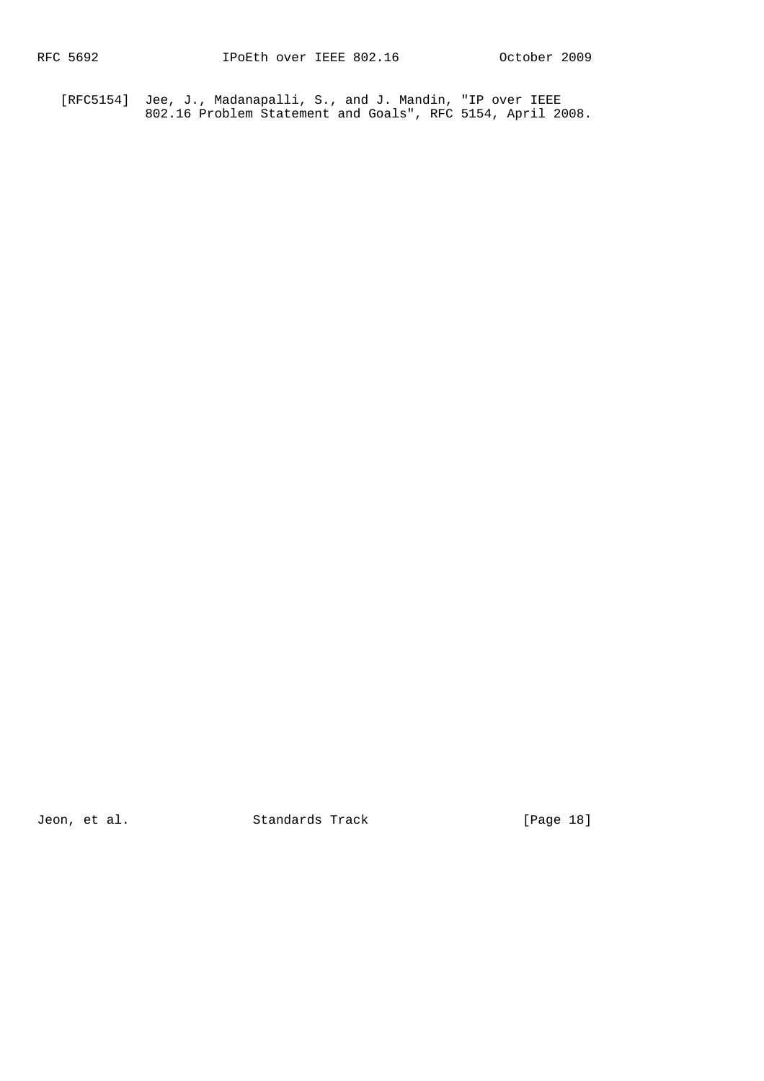[RFC5154] Jee, J., Madanapalli, S., and J. Mandin, "IP over IEEE 802.16 Problem Statement and Goals", RFC 5154, April 2008.

Jeon, et al. Standards Track [Page 18]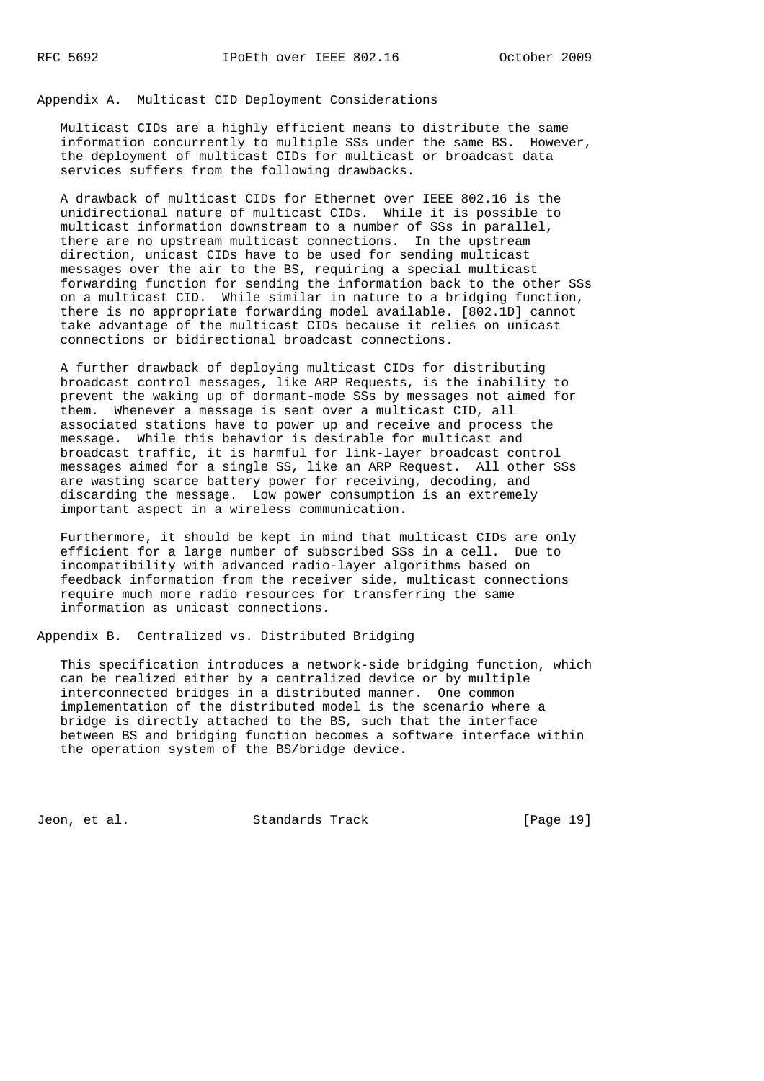Appendix A. Multicast CID Deployment Considerations

 Multicast CIDs are a highly efficient means to distribute the same information concurrently to multiple SSs under the same BS. However, the deployment of multicast CIDs for multicast or broadcast data services suffers from the following drawbacks.

 A drawback of multicast CIDs for Ethernet over IEEE 802.16 is the unidirectional nature of multicast CIDs. While it is possible to multicast information downstream to a number of SSs in parallel, there are no upstream multicast connections. In the upstream direction, unicast CIDs have to be used for sending multicast messages over the air to the BS, requiring a special multicast forwarding function for sending the information back to the other SSs on a multicast CID. While similar in nature to a bridging function, there is no appropriate forwarding model available. [802.1D] cannot take advantage of the multicast CIDs because it relies on unicast connections or bidirectional broadcast connections.

 A further drawback of deploying multicast CIDs for distributing broadcast control messages, like ARP Requests, is the inability to prevent the waking up of dormant-mode SSs by messages not aimed for them. Whenever a message is sent over a multicast CID, all associated stations have to power up and receive and process the message. While this behavior is desirable for multicast and broadcast traffic, it is harmful for link-layer broadcast control messages aimed for a single SS, like an ARP Request. All other SSs are wasting scarce battery power for receiving, decoding, and discarding the message. Low power consumption is an extremely important aspect in a wireless communication.

 Furthermore, it should be kept in mind that multicast CIDs are only efficient for a large number of subscribed SSs in a cell. Due to incompatibility with advanced radio-layer algorithms based on feedback information from the receiver side, multicast connections require much more radio resources for transferring the same information as unicast connections.

Appendix B. Centralized vs. Distributed Bridging

 This specification introduces a network-side bridging function, which can be realized either by a centralized device or by multiple interconnected bridges in a distributed manner. One common implementation of the distributed model is the scenario where a bridge is directly attached to the BS, such that the interface between BS and bridging function becomes a software interface within the operation system of the BS/bridge device.

Jeon, et al. Standards Track [Page 19]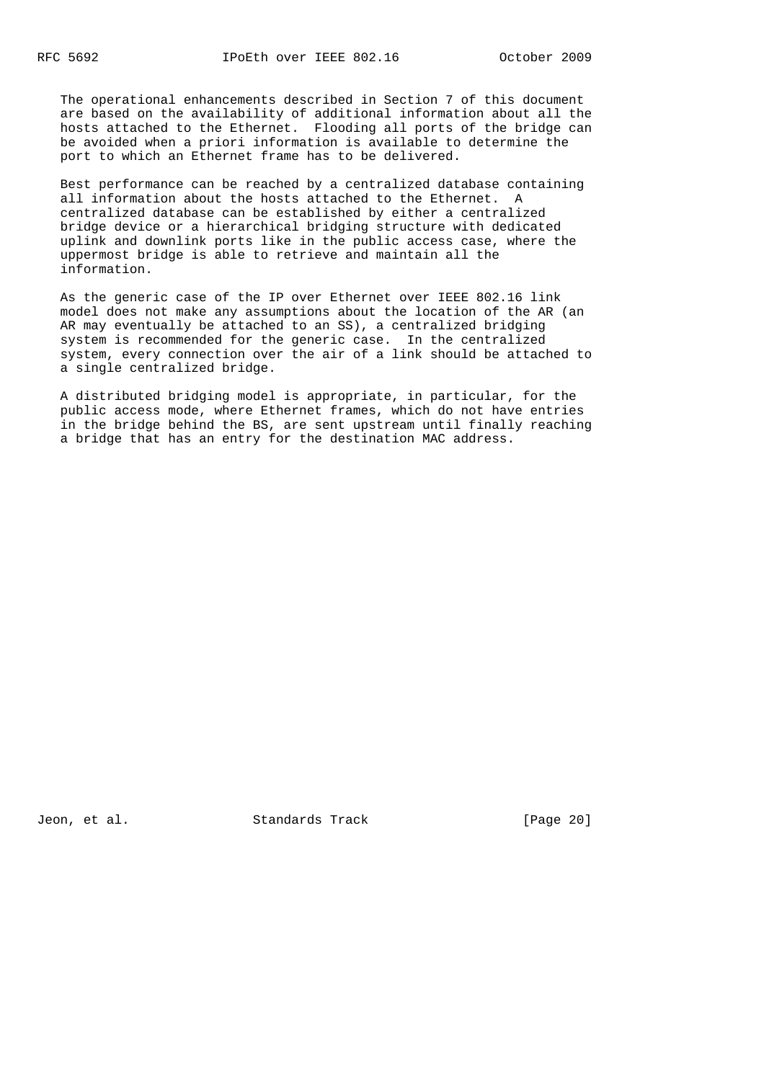The operational enhancements described in Section 7 of this document are based on the availability of additional information about all the hosts attached to the Ethernet. Flooding all ports of the bridge can be avoided when a priori information is available to determine the port to which an Ethernet frame has to be delivered.

 Best performance can be reached by a centralized database containing all information about the hosts attached to the Ethernet. A centralized database can be established by either a centralized bridge device or a hierarchical bridging structure with dedicated uplink and downlink ports like in the public access case, where the uppermost bridge is able to retrieve and maintain all the information.

 As the generic case of the IP over Ethernet over IEEE 802.16 link model does not make any assumptions about the location of the AR (an AR may eventually be attached to an SS), a centralized bridging system is recommended for the generic case. In the centralized system, every connection over the air of a link should be attached to a single centralized bridge.

 A distributed bridging model is appropriate, in particular, for the public access mode, where Ethernet frames, which do not have entries in the bridge behind the BS, are sent upstream until finally reaching a bridge that has an entry for the destination MAC address.

Jeon, et al. Standards Track [Page 20]